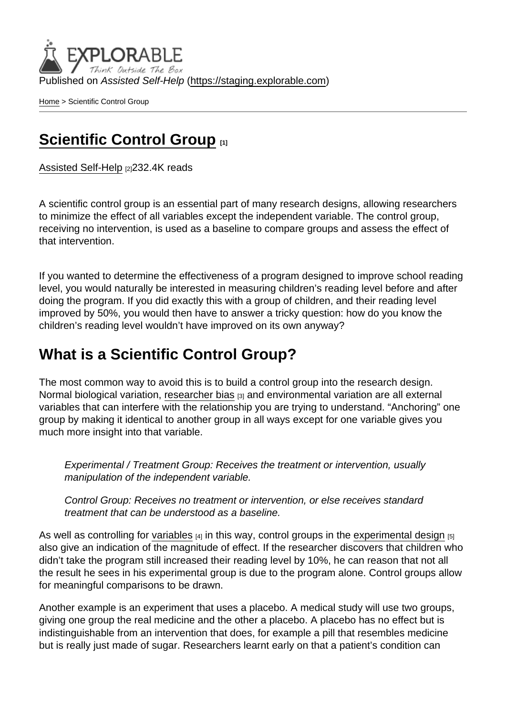Published on Assisted Self-Help [\(https://staging.explorable.com](https://staging.explorable.com))

[Home](https://staging.explorable.com/en) > Scientific Control Group

## [Scientific Control Group](https://staging.explorable.com/en/scientific-control-group) [1]

[Assisted Self-Help](https://staging.explorable.com/en) [2]232.4K reads

A scientific control group is an essential part of many research designs, allowing researchers to minimize the effect of all variables except the independent variable. The control group, receiving no intervention, is used as a baseline to compare groups and assess the effect of that intervention.

If you wanted to determine the effectiveness of a program designed to improve school reading level, you would naturally be interested in measuring children's reading level before and after doing the program. If you did exactly this with a group of children, and their reading level improved by 50%, you would then have to answer a tricky question: how do you know the children's reading level wouldn't have improved on its own anyway?

## What is a Scientific Control Group?

The most common way to avoid this is to build a control group into the research design. Normal biological variation, [researcher bias](https://explorable.com/research-bias) [3] and environmental variation are all external variables that can interfere with the relationship you are trying to understand. "Anchoring" one group by making it identical to another group in all ways except for one variable gives you much more insight into that variable.

Experimental / Treatment Group: Receives the treatment or intervention, usually manipulation of the independent variable.

Control Group: Receives no treatment or intervention, or else receives standard treatment that can be understood as a baseline.

As well as controlling for [variables](https://explorable.com/research-variables)  $\frac{4}{14}$  in this way, control groups in the [experimental design](https://explorable.com/design-of-experiment)  $\frac{1}{151}$ also give an indication of the magnitude of effect. If the researcher discovers that children who didn't take the program still increased their reading level by 10%, he can reason that not all the result he sees in his experimental group is due to the program alone. Control groups allow for meaningful comparisons to be drawn.

Another example is an experiment that uses a placebo. A medical study will use two groups, giving one group the real medicine and the other a placebo. A placebo has no effect but is indistinguishable from an intervention that does, for example a pill that resembles medicine but is really just made of sugar. Researchers learnt early on that a patient's condition can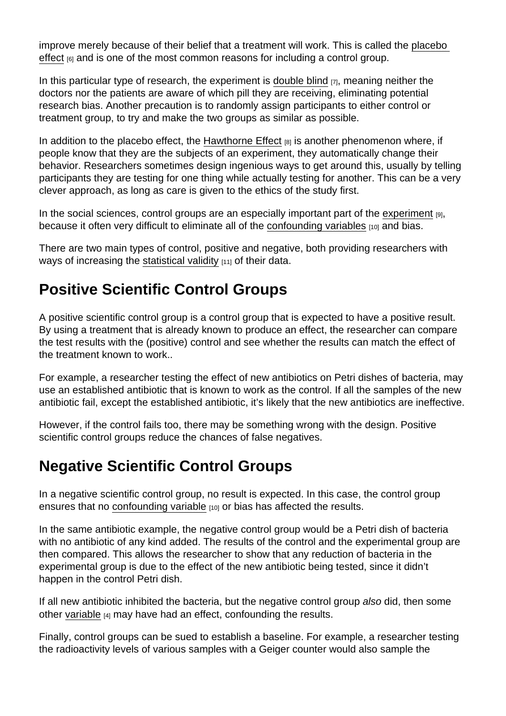improve merely because of their belief that a treatment will work. This is called the [placebo](https://explorable.com/placebo-effect)  [effect](https://explorable.com/placebo-effect) <sub>[6]</sub> and is one of the most common reasons for including a control group.

In this particular type of research, the experiment is [double blind](https://explorable.com/double-blind-experiment)  $\overline{r}$ , meaning neither the doctors nor the patients are aware of which pill they are receiving, eliminating potential research bias. Another precaution is to randomly assign participants to either control or treatment group, to try and make the two groups as similar as possible.

In addition to the placebo effect, the [Hawthorne Effect](https://explorable.com/hawthorne-effect)  $B$  is another phenomenon where, if people know that they are the subjects of an experiment, they automatically change their behavior. Researchers sometimes design ingenious ways to get around this, usually by telling participants they are testing for one thing while actually testing for another. This can be a very clever approach, as long as care is given to the ethics of the study first.

In the social sciences, control groups are an especially important part of the [experiment](https://explorable.com/conducting-an-experiment) [9], because it often very difficult to eliminate all of the [confounding variables](https://explorable.com/confounding-variables) [10] and bias.

There are two main types of control, positive and negative, both providing researchers with ways of increasing the [statistical validity](https://explorable.com/statistical-validity) [11] of their data.

## Positive Scientific Control Groups

A positive scientific control group is a control group that is expected to have a positive result. By using a treatment that is already known to produce an effect, the researcher can compare the test results with the (positive) control and see whether the results can match the effect of the treatment known to work..

For example, a researcher testing the effect of new antibiotics on Petri dishes of bacteria, may use an established antibiotic that is known to work as the control. If all the samples of the new antibiotic fail, except the established antibiotic, it's likely that the new antibiotics are ineffective.

However, if the control fails too, there may be something wrong with the design. Positive scientific control groups reduce the chances of false negatives.

## Negative Scientific Control Groups

In a negative scientific control group, no result is expected. In this case, the control group ensures that no [confounding variable](https://explorable.com/confounding-variables)  $[10]$  or bias has affected the results.

In the same antibiotic example, the negative control group would be a Petri dish of bacteria with no antibiotic of any kind added. The results of the control and the experimental group are then compared. This allows the researcher to show that any reduction of bacteria in the experimental group is due to the effect of the new antibiotic being tested, since it didn't happen in the control Petri dish.

If all new antibiotic inhibited the bacteria, but the negative control group also did, then some other [variable](https://explorable.com/research-variables) [4] may have had an effect, confounding the results.

Finally, control groups can be sued to establish a baseline. For example, a researcher testing the radioactivity levels of various samples with a Geiger counter would also sample the